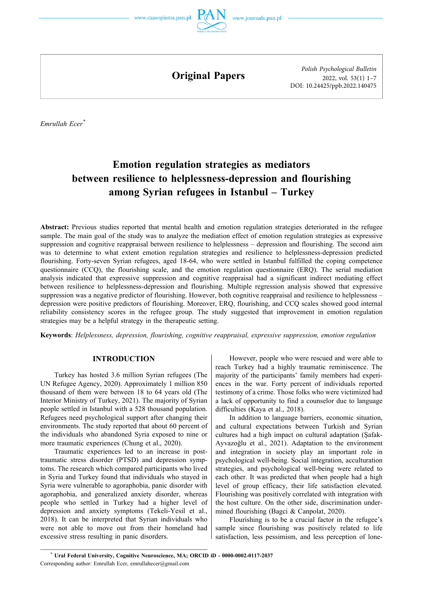



**Original Papers** *Polish Psychological Bulletin*  2022, vol. 53(1) 1–7 DOI: 10.24425/ppb.2022.140475

*Emrullah Ecer\** 

# **Emotion regulation strategies as mediators between resilience to helplessness-depression and flourishing among Syrian refugees in Istanbul – Turkey**

**Abstract:** Previous studies reported that mental health and emotion regulation strategies deteriorated in the refugee sample. The main goal of the study was to analyze the mediation effect of emotion regulation strategies as expressive suppression and cognitive reappraisal between resilience to helplessness – depression and flourishing. The second aim was to determine to what extent emotion regulation strategies and resilience to helplessness-depression predicted flourishing. Forty-seven Syrian refugees, aged 18-64, who were settled in Istanbul fulfilled the coping competence questionnaire (CCQ), the flourishing scale, and the emotion regulation questionnaire (ERQ). The serial mediation analysis indicated that expressive suppression and cognitive reappraisal had a significant indirect mediating effect between resilience to helplessness-depression and flourishing. Multiple regression analysis showed that expressive suppression was a negative predictor of flourishing. However, both cognitive reappraisal and resilience to helplessness – depression were positive predictors of flourishing. Moreover, ERQ, flourishing, and CCQ scales showed good internal reliability consistency scores in the refugee group. The study suggested that improvement in emotion regulation strategies may be a helpful strategy in the therapeutic setting.

**Keywords**: *Helplessness, depression, flourishing, cognitive reappraisal, expressive suppression, emotion regulation* 

# **INTRODUCTION**

Turkey has hosted 3.6 million Syrian refugees (The UN Refugee Agency, 2020). Approximately 1 million 850 thousand of them were between 18 to 64 years old (The Interior Ministry of Turkey, 2021). The majority of Syrian people settled in Istanbul with a 528 thousand population. Refugees need psychological support after changing their environments. The study reported that about 60 percent of the individuals who abandoned Syria exposed to nine or more traumatic experiences (Chung et al., 2020).

Traumatic experiences led to an increase in posttraumatic stress disorder (PTSD) and depression symptoms. The research which compared participants who lived in Syria and Turkey found that individuals who stayed in Syria were vulnerable to agoraphobia, panic disorder with agoraphobia, and generalized anxiety disorder, whereas people who settled in Turkey had a higher level of depression and anxiety symptoms (Tekeli-Yesil et al., 2018). It can be interpreted that Syrian individuals who were not able to move out from their homeland had excessive stress resulting in panic disorders.

However, people who were rescued and were able to reach Turkey had a highly traumatic reminiscence. The majority of the participants' family members had experiences in the war. Forty percent of individuals reported testimony of a crime. Those folks who were victimized had a lack of opportunity to find a counselor due to language difficulties (Kaya et al., 2018).

In addition to language barriers, economic situation, and cultural expectations between Turkish and Syrian cultures had a high impact on cultural adaptation (Şafak-Ayvazoğlu et al., 2021). Adaptation to the environment and integration in society play an important role in psychological well-being. Social integration, acculturation strategies, and psychological well-being were related to each other. It was predicted that when people had a high level of group efficacy, their life satisfaction elevated. Flourishing was positively correlated with integration with the host culture. On the other side, discrimination undermined flourishing (Bagci & Canpolat, 2020).

Flourishing is to be a crucial factor in the refugee's sample since flourishing was positively related to life satisfaction, less pessimism, and less perception of lone-

Corresponding author: Emrullah Ecer, emrullahecer@gmail.com **\* Ural Federal University, Cognitive Neuroscience, MA; [ORCID iD - 0000-0002-0117-2037](https://orcid.org/0000-0002-0117-2037)**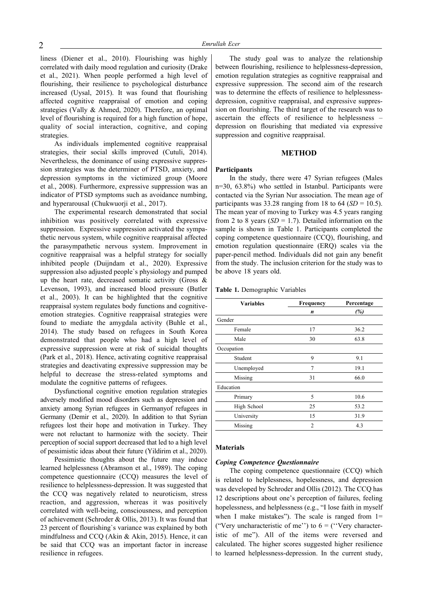liness (Diener et al., 2010). Flourishing was highly correlated with daily mood regulation and curiosity (Drake et al., 2021). When people performed a high level of flourishing, their resilience to psychological disturbance increased (Uysal, 2015). It was found that flourishing affected cognitive reappraisal of emotion and coping strategies (Vally & Ahmed, 2020). Therefore, an optimal level of flourishing is required for a high function of hope, quality of social interaction, cognitive, and coping strategies.

As individuals implemented cognitive reappraisal strategies, their social skills improved (Cutuli, 2014). Nevertheless, the dominance of using expressive suppression strategies was the determiner of PTSD, anxiety, and depression symptoms in the victimized group (Moore et al., 2008). Furthermore, expressive suppression was an indicator of PTSD symptoms such as avoidance numbing, and hyperarousal (Chukwuorji et al., 2017).

The experimental research demonstrated that social inhibition was positively correlated with expressive suppression. Expressive suppression activated the sympathetic nervous system, while cognitive reappraisal affected the parasympathetic nervous system. Improvement in cognitive reappraisal was a helpful strategy for socially inhibited people (Duijndam et al., 2020). Expressive suppression also adjusted people`s physiology and pumped up the heart rate, decreased somatic activity (Gross & Levenson, 1993), and increased blood pressure (Butler et al., 2003). It can be highlighted that the cognitive reappraisal system regulates body functions and cognitiveemotion strategies. Cognitive reappraisal strategies were found to mediate the amygdala activity (Buhle et al., 2014). The study based on refugees in South Korea demonstrated that people who had a high level of expressive suppression were at risk of suicidal thoughts (Park et al., 2018). Hence, activating cognitive reappraisal strategies and deactivating expressive suppression may be helpful to decrease the stress-related symptoms and modulate the cognitive patterns of refugees.

Dysfunctional cognitive emotion regulation strategies adversely modified mood disorders such as depression and anxiety among Syrian refugees in Germanyof refugees in Germany (Demir et al., 2020). In addition to that Syrian refugees lost their hope and motivation in Turkey. They were not reluctant to harmonize with the society. Their perception of social support decreased that led to a high level of pessimistic ideas about their future (Yildirim et al., 2020).

Pessimistic thoughts about the future may induce learned helplessness (Abramson et al., 1989). The coping competence questionnaire (CCQ) measures the level of resilience to helplessness-depression. It was suggested that the CCQ was negatively related to neuroticism, stress reaction, and aggression, whereas it was positively correlated with well-being, consciousness, and perception of achievement (Schroder & Ollis, 2013). It was found that 23 percent of flourishing`s variance was explained by both mindfulness and CCQ (Akin & Akin, 2015). Hence, it can be said that CCQ was an important factor in increase resilience in refugees.

The study goal was to analyze the relationship between flourishing, resilience to helplessness-depression, emotion regulation strategies as cognitive reappraisal and expressive suppression. The second aim of the research was to determine the effects of resilience to helplessnessdepression, cognitive reappraisal, and expressive suppression on flourishing. The third target of the research was to ascertain the effects of resilience to helplessness – depression on flourishing that mediated via expressive suppression and cognitive reappraisal.

## **METHOD**

#### **Participants**

In the study, there were 47 Syrian refugees (Males n=30, 63.8%) who settled in Istanbul. Participants were contacted via the Syrian Nur association. The mean age of participants was 33.28 ranging from 18 to  $64$  (*SD* = 10.5). The mean year of moving to Turkey was 4.5 years ranging from 2 to 8 years  $(SD = 1.7)$ . Detailed information on the sample is shown in Table 1. Participants completed the coping competence questionnaire (CCQ), flourishing, and emotion regulation questionnaire (ERQ) scales via the paper-pencil method. Individuals did not gain any benefit from the study. The inclusion criterion for the study was to be above 18 years old.

**Table 1.** Demographic Variables

| <b>Variables</b> | Frequency      | Percentage |  |
|------------------|----------------|------------|--|
|                  | n              | (%)        |  |
| Gender           |                |            |  |
| Female           | 17             | 36.2       |  |
| Male             | 30             | 63.8       |  |
| Occupation       |                |            |  |
| Student          | 9              | 9.1        |  |
| Unemployed       | 7              | 19.1       |  |
| Missing          | 31             | 66.0       |  |
| Education        |                |            |  |
| Primary          | 5              | 10.6       |  |
| High School      | 25             | 53.2       |  |
| University       | 15             | 31.9       |  |
| Missing          | $\overline{2}$ | 4.3        |  |

## **Materials**

## *Coping Competence Questionnaire*

The coping competence questionnaire (CCQ) which is related to helplessness, hopelessness, and depression was developed by Schroder and Ollis (2012). The CCQ has 12 descriptions about one's perception of failures, feeling hopelessness, and helplessness (e.g., "I lose faith in myself when I make mistakes"). The scale is ranged from  $1=$ ("Very uncharacteristic of me") to  $6 =$  ("Very characteristic of me"). All of the items were reversed and calculated. The higher scores suggested higher resilience to learned helplessness-depression. In the current study,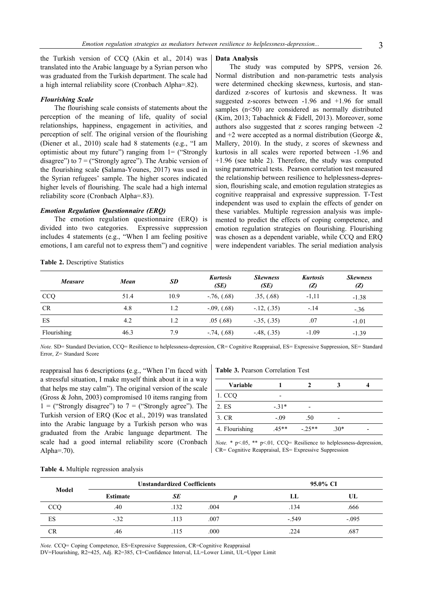the Turkish version of CCQ (Akin et al., 2014) was translated into the Arabic language by a Syrian person who was graduated from the Turkish department. The scale had a high internal reliability score (Cronbach Alpha=.82).

## *Flourishing Scale*

The flourishing scale consists of statements about the perception of the meaning of life, quality of social relationships, happiness, engagement in activities, and perception of self. The original version of the flourishing (Diener et al., 2010) scale had 8 statements (e.g., "I am optimistic about my future") ranging from 1= ("Strongly disagree") to  $7 =$  ("Strongly agree"). The Arabic version of the flourishing scale **(**Salama-Younes, 2017) was used in the Syrian refugees' sample. The higher scores indicated higher levels of flourishing. The scale had a high internal reliability score (Cronbach Alpha=.83).

#### *Emotion Regulation Questionnaire (ERQ)*

The emotion regulation questionnaire (ERQ) is divided into two categories. Expressive suppression includes 4 statements (e.g., "When I am feeling positive emotions, I am careful not to express them") and cognitive

## **Data Analysis**

The study was computed by SPPS, version 26. Normal distribution and non-parametric tests analysis were determined checking skewness, kurtosis, and standardized z-scores of kurtosis and skewness. It was suggested z-scores between -1.96 and +1.96 for small samples (n<50) are considered as normally distributed (Kim, 2013; Tabachnick & Fidell, 2013). Moreover, some authors also suggested that z scores ranging between -2 and  $+2$  were accepted as a normal distribution (George  $\&$ , Mallery, 2010). In the study, z scores of skewness and kurtosis in all scales were reported between -1.96 and +1.96 (see table 2). Therefore, the study was computed using parametrical tests. Pearson correlation test measured the relationship between resilience to helplessness-depression, flourishing scale, and emotion regulation strategies as cognitive reappraisal and expressive suppression. T-Test independent was used to explain the effects of gender on these variables. Multiple regression analysis was implemented to predict the effects of coping competence, and emotion regulation strategies on flourishing. Flourishing was chosen as a dependent variable, while CCQ and ERQ were independent variables. The serial mediation analysis

| Table 2. Descriptive Statistics |  |
|---------------------------------|--|
|---------------------------------|--|

| <b>Measure</b> | Mean | SD   | <b>Kurtosis</b><br>(SE) | <b>Skewness</b><br>(SE) | <b>Kurtosis</b><br>(Z) | <b>Skewness</b><br>(Z) |
|----------------|------|------|-------------------------|-------------------------|------------------------|------------------------|
| <b>CCQ</b>     | 51.4 | 10.9 | $-.76, (.68)$           | .35, (.68)              | $-1,11$                | $-1.38$                |
| CR             | 4.8  | 1.2  | $-0.09, (0.68)$         | $-12, (0.35)$           | $-.14$                 | $-.36$                 |
| ES             | 4.2  | 1.2  | .05(68)                 | $-.35, (.35)$           | .07                    | $-1.01$                |
| Flourishing    | 46.3 | 7.9  | $-.74, (.68)$           | $-48, (0.35)$           | $-1.09$                | $-1.39$                |

*Note.* SD= Standard Deviation, CCQ= Resilience to helplessness-depression, CR= Cognitive Reappraisal, ES= Expressive Suppression, SE= Standard Error, Z= Standard Score

reappraisal has 6 descriptions **(**e.g., "When I'm faced with a stressful situation, I make myself think about it in a way that helps me stay calm"). The original version of the scale (Gross & John, 2003) compromised 10 items ranging from  $1 =$  ("Strongly disagree") to  $7 =$  ("Strongly agree"). The Turkish version of ERQ (Koc et al., 2019) was translated into the Arabic language by a Turkish person who was graduated from the Arabic language department. The scale had a good internal reliability score (Cronbach Alpha=.70).

**Table 3.** Pearson Correlation Test

| Variable       |         |          |       |  |
|----------------|---------|----------|-------|--|
| 1. CCQ         |         |          |       |  |
| 2. ES          | $-.31*$ |          |       |  |
| 3. CR          | $-.09$  | .50      |       |  |
| 4. Flourishing | $45**$  | $-.25**$ | $30*$ |  |

*Note.* \* p<.05, \*\* p<.01, CCQ= Resilience to helplessness-depression, CR= Cognitive Reappraisal, ES= Expressive Suppression

|  | Table 4. Multiple regression analysis |  |
|--|---------------------------------------|--|
|  |                                       |  |

| Model      |          | <b>Unstandardized Coefficients</b> |      |         | 95.0% CI |  |
|------------|----------|------------------------------------|------|---------|----------|--|
|            | Estimate | SE                                 |      | IJ      | UL       |  |
| <b>CCQ</b> | .40      | .132                               | .004 | .134    | .666     |  |
| ES         | $-.32$   | .113                               | .007 | $-.549$ | $-.095$  |  |
| <b>CR</b>  | .46      | .115                               | .000 | .224    | .687     |  |

*Note.* CCQ= Coping Competence, ES=Expressive Suppression, CR=Cognitive Reappraisal

DV=Flourishing, R2=425, Adj. R2=385, CI=Confidence Interval, LL=Lower Limit, UL=Upper Limit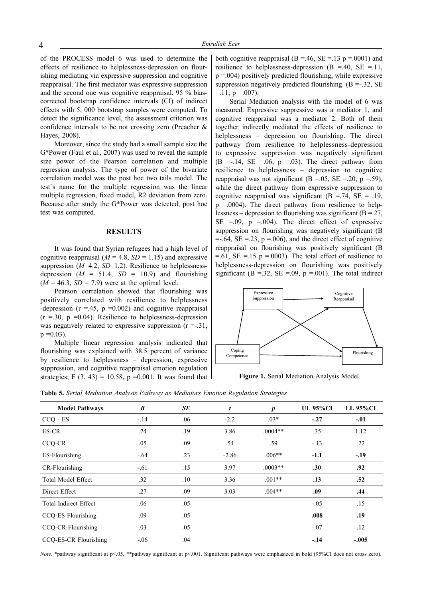of the PROCESS model 6 was used to determine the effects of resilience to helplessness-depression on flourishing mediating via expressive suppression and cognitive reappraisal. The first mediator was expressive suppression and the second one was cognitive reappraisal. 95 % biascorrected bootstrap confidence intervals (CI) of indirect effects with 5, 000 bootstrap samples were computed. To detect the significance level, the assessment criterion was confidence intervals to be not crossing zero (Preacher & Hayes, 2008).

Moreover, since the study had a small sample size the G\*Power (Faul et al., 2007) was used to reveal the sample size power of the Pearson correlation and multiple regression analysis. The type of power of the bivariate correlation model was the post hoc two tails model. The test`s name for the multiple regression was the linear multiple regression, fixed model, R2 deviation from zero. Because after study the G\*Power was detected, post hoc test was computed.

## **RESULTS**

It was found that Syrian refugees had a high level of cognitive reappraisal  $(M = 4.8, SD = 1.15)$  and expressive suppression (*M*=4.2, *SD*=1.2). Resilience to helplessnessdepression  $(M = 51.4, SD = 10.9)$  and flourishing  $(M = 46.3, SD = 7.9)$  were at the optimal level.

Pearson correlation showed that flourishing was positively correlated with resilience to helplessness -depression ( $r = 45$ ,  $p = 0.002$ ) and cognitive reappraisal  $(r = .30, p = 0.04)$ . Resilience to helplessness-depression was negatively related to expressive suppression  $(r = .31)$ ,  $p = 0.03$ ).

Multiple linear regression analysis indicated that flourishing was explained with 38.5 percent of variance by resilience to helplessness – depression, expressive suppression, and cognitive reappraisal emotion regulation strategies; F (3, 43) = 10.58, p = 0.001. It was found that

both cognitive reappraisal ( $B = .46$ ,  $SE = .13$  p = 0001) and resilience to helplessness-depression  $(B = .40, SE = .11,$  $p = 0.004$ ) positively predicted flourishing, while expressive suppression negatively predicted flourishing.  $(B = .32, SE)$  $=$ .11, p =.007).

Serial Mediation analysis with the model of 6 was measured. Expressive suppressive was a mediator 1, and cognitive reappraisal was a mediator 2. Both of them together indirectly mediated the effects of resilience to helplessness – depression on flourishing. The direct pathway from resilience to helplessness-depression to expressive suppression was negatively significant  $(B = .14, SE = .06, p = .03)$ . The direct pathway from resilience to helplessness – depression to cognitive reappraisal was not significant (B =.05, SE =.20, p =.59), while the direct pathway from expressive suppression to cognitive reappraisal was significant ( $B = .74$ ,  $SE = .19$ ,  $p = 0.004$ ). The direct pathway from resilience to helplessness – depression to flourishing was significant ( $B = 27$ , SE =.09,  $p = .004$ ). The direct effect of expressive suppression on flourishing was negatively significant (B  $=$ -.64, SE  $=$ .23, p  $=$ .006), and the direct effect of cognitive reappraisal on flourishing was positively significant (B  $=61$ , SE  $=15$  p  $=0003$ ). The total effect of resilience to helplessness-depression on flourishing was positively significant (B = 32, SE = 09, p = 001). The total indirect



**Figure 1.** Serial Mediation Analysis Model

**Table 5.** *Serial Mediation Analysis Pathway as Mediators Emotion Regulation Strategies* 

| <b>Model Pathways</b> | B      | <b>SE</b> | t       | $\boldsymbol{p}$ | <b>UL 95%CI</b> | LL 95%CI |
|-----------------------|--------|-----------|---------|------------------|-----------------|----------|
| CCQ - ES              | $-.14$ | .06       | $-2.2$  | $.03*$           | $-.27$          | $-.01$   |
| ES-CR                 | .74    | .19       | 3.86    | $.0004**$        | .35             | 1.12     |
| CCQ-CR                | .05    | .09       | .54     | .59              | $-.13$          | .22      |
| ES-Flourishing        | $-.64$ | .23       | $-2.86$ | $.006**$         | $-1.1$          | $-.19$   |
| CR-Flourishing        | $-.61$ | .15       | 3.97    | $.0003**$        | .30             | .92      |
| Total Model Effect    | .32    | .10       | 3.36    | $.001**$         | .13             | .52      |
| Direct Effect         | .27    | .09       | 3.03    | $.004**$         | .09             | .44      |
| Total Indirect Effect | .06    | .05       |         |                  | $-.05$          | .15      |
| CCQ-ES-Flourishing    | .09    | .05       |         |                  | .008            | .19      |
| CCQ-CR-Flourishing    | .03    | .05       |         |                  | $-.07$          | .12      |
| CCO-ES-CR Flourishing | $-.06$ | .04       |         |                  | $-14$           | $-.005$  |

*Note.* \*pathway significant at p<.05, \*\*pathway significant at p<.001. Significant pathways were emphasized in bold (95%CI does not cross zero).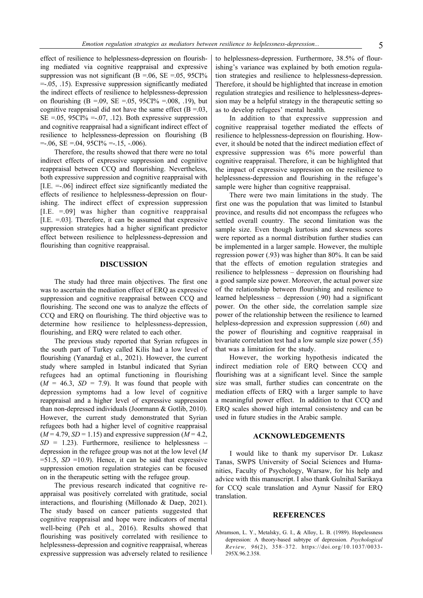effect of resilience to helplessness-depression on flourishing mediated via cognitive reappraisal and expressive suppression was not significant ( $B = .06$ ,  $SE = .05$ ,  $95CI\%$ ) =-.05, .15). Expressive suppression significantly mediated the indirect effects of resilience to helplessness-depression on flourishing (B =.09, SE =.05, 95CI% =.008, .19), but cognitive reappraisal did not have the same effect  $(B = .03, )$  $SE = .05, 95CI\% = .07, .12$ . Both expressive suppression and cognitive reappraisal had a significant indirect effect of resilience to helplessness-depression on flourishing (B  $=$ -.06, SE  $=$ .04, 95CI%  $=$ -.15, -.006).

Therefore, the results showed that there were no total indirect effects of expressive suppression and cognitive reappraisal between CCQ and flourishing. Nevertheless, both expressive suppression and cognitive reappraisal with [I.E. =-.06] indirect effect size significantly mediated the effects of resilience to helplessness-depression on flourishing. The indirect effect of expression suppression [I.E. =.09] was higher than cognitive reappraisal [I.E. =.03]. Therefore, it can be assumed that expressive suppression strategies had a higher significant predictor effect between resilience to helplessness-depression and flourishing than cognitive reappraisal.

## **DISCUSSION**

The study had three main objectives. The first one was to ascertain the mediation effect of ERQ as expressive suppression and cognitive reappraisal between CCQ and flourishing. The second one was to analyze the effects of CCQ and ERQ on flourishing. The third objective was to determine how resilience to helplessness-depression, flourishing, and ERQ were related to each other.

The previous study reported that Syrian refugees in the south part of Turkey called Kilis had a low level of flourishing (Yanardağ et al., 2021). However, the current study where sampled in Istanbul indicated that Syrian refugees had an optimal functioning in flourishing  $(M = 46.3, SD = 7.9)$ . It was found that people with depression symptoms had a low level of cognitive reappraisal and a higher level of expressive suppression than non-depressed individuals (Joormann & Gotlib, 2010). However, the current study demonstrated that Syrian refugees both had a higher level of cognitive reappraisal  $(M = 4.79, SD = 1.15)$  and expressive suppression  $(M = 4.2,$  $SD = 1.23$ ). Furthermore, resilience to helplessness – depression in the refugee group was not at the low level (*M*   $=51.5$ , *SD*  $=10.9$ ). Hence, it can be said that expressive suppression emotion regulation strategies can be focused on in the therapeutic setting with the refugee group.

The previous research indicated that cognitive reappraisal was positively correlated with gratitude, social interactions, and flourishing (Millonado & Daep, 2021). The study based on cancer patients suggested that cognitive reappraisal and hope were indicators of mental well-being (Peh et al., 2016). Results showed that flourishing was positively correlated with resilience to helplessness-depression and cognitive reappraisal, whereas expressive suppression was adversely related to resilience to helplessness-depression. Furthermore, 38.5% of flourishing's variance was explained by both emotion regulation strategies and resilience to helplessness-depression. Therefore, it should be highlighted that increase in emotion regulation strategies and resilience to helplessness-depression may be a helpful strategy in the therapeutic setting so as to develop refugees' mental health.

In addition to that expressive suppression and cognitive reappraisal together mediated the effects of resilience to helplessness-depression on flourishing. However, it should be noted that the indirect mediation effect of expressive suppression was 6% more powerful than cognitive reappraisal. Therefore, it can be highlighted that the impact of expressive suppression on the resilience to helplessness-depression and flourishing in the refugee's sample were higher than cognitive reappraisal.

There were two main limitations in the study. The first one was the population that was limited to Istanbul province, and results did not encompass the refugees who settled overall country. The second limitation was the sample size. Even though kurtosis and skewness scores were reported as a normal distribution further studies can be implemented in a larger sample. However, the multiple regression power (.93) was higher than 80%. It can be said that the effects of emotion regulation strategies and resilience to helplessness – depression on flourishing had a good sample size power. Moreover, the actual power size of the relationship between flourishing and resilience to learned helplessness – depression (.90) had a significant power. On the other side, the correlation sample size power of the relationship between the resilience to learned helpless-depression and expression suppression (.60) and the power of flourishing and cognitive reappraisal in bivariate correlation test had a low sample size power (.55) that was a limitation for the study.

However, the working hypothesis indicated the indirect mediation role of ERQ between CCQ and flourishing was at a significant level. Since the sample size was small, further studies can concentrate on the mediation effects of ERQ with a larger sample to have a meaningful power effect. In addition to that CCQ and ERQ scales showed high internal consistency and can be used in future studies in the Arabic sample.

#### **ACKNOWLEDGEMENTS**

I would like to thank my supervisor Dr. Lukasz Tanas, SWPS University of Social Sciences and Humanities, Faculty of Psychology, Warsaw, for his help and advice with this manuscript. I also thank Gulnihal Sarikaya for CCQ scale translation and Aynur Nassif for ERQ translation.

#### **REFERENCES**

Abramson, L. Y., Metalsky, G. I., & Alloy, L. B. (1989). Hopelessness depression: A theory-based subtype of depression. *Psychological Review, 96*(2), 358–372. [https://doi.org/10.1037/0033-](https://doi.org/10.1037/0033-295X.96.2.358) [295X.96.2.358.](https://doi.org/10.1037/0033-295X.96.2.358)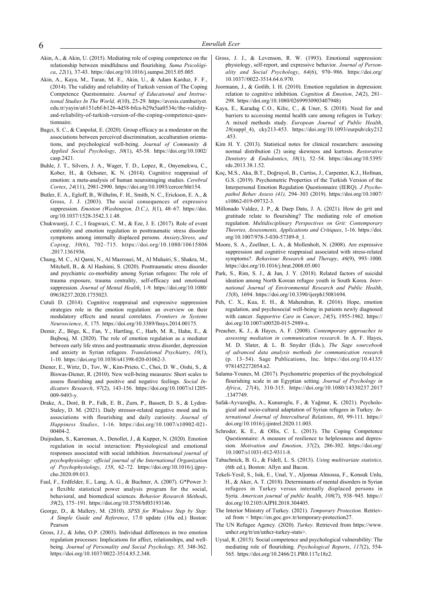- Akin, A., & Akin, U. (2015). Mediating role of coping competence on the relationship between mindfulness and flourishing. *Suma Psicológica*, *22*(1), 37-43. [https://doi.org/10.1016/j.sumpsi.2015.05.005.](https://doi.org/10.1016/j.sumpsi.2015.05.005)
- Akin, A., Kaya, M., Turan, M. E., Akin, U., & Adam Karduz, F. F., (2014). The validity and reliability of Turkısh version of The Coping Competence Questıonnaire. *Journal of Educatıonal and Instructıonal Studies In The World, 4*(10), 25-29. [https://avesis.cumhuriyet.](https://avesis.cumhuriyet.edu.tr/yayin/a6151ebf-b126-4d58-bfca-b29a5aa0534c/the-validity-and-reliability-of-turkish-version-of-the-coping-competence-questionnaire) [edu.tr/yayin/a6151ebf-b126-4d58-bfca-b29a5aa0534c/the-validity](https://avesis.cumhuriyet.edu.tr/yayin/a6151ebf-b126-4d58-bfca-b29a5aa0534c/the-validity-and-reliability-of-turkish-version-of-the-coping-competence-questionnaire)[and-reliability-of-turkish-version-of-the-coping-competence-ques](https://avesis.cumhuriyet.edu.tr/yayin/a6151ebf-b126-4d58-bfca-b29a5aa0534c/the-validity-and-reliability-of-turkish-version-of-the-coping-competence-questionnaire)[tionnaire.](https://avesis.cumhuriyet.edu.tr/yayin/a6151ebf-b126-4d58-bfca-b29a5aa0534c/the-validity-and-reliability-of-turkish-version-of-the-coping-competence-questionnaire)
- Bagci, S. C., & Canpolat, E. (2020). Group efficacy as a moderator on the associations between perceived discrimination, acculturation orientations, and psychological well‐being. *Journal of Community & Applied Social Psychology*, *30*(1), 45-58. [https://doi.org/10.1002/](https://doi.org/10.1002/casp.2421)  [casp.2421.](https://doi.org/10.1002/casp.2421)
- Buhle, J. T., Silvers, J. A., Wager, T. D., Lopez, R., Onyemekwu, C., Kober, H., & Ochsner, K. N. (2014). Cognitive reappraisal of emotion: a meta-analysis of human neuroimaging studies. *Cerebral Cortex*, *24*(11), 2981-2990. [https://doi.org/10.1093/cercor/bht154.](https://doi.org/10.1093/cercor/bht154)
- Butler, E. A., Egloff, B., Wilhelm, F. H., Smith, N. C., Erickson, E. A., & Gross, J. J. (2003). The social consequences of expressive suppression. *Emotion (Washington, D.C.)*, *3*(1), 48–67. [https://doi.](https://doi.org/10.1037/1528-3542.3.1.48)  [org/10.1037/1528-3542.3.1.48.](https://doi.org/10.1037/1528-3542.3.1.48)
- Chukwuorji, J. C., I feagwazi, C. M., & Eze, J. E. (2017). Role of event centrality and emotion regulation in posttraumatic stress disorder symptoms among internally displaced persons. *Anxiety,Stress, and Coping*, *30*(6), 702–715. [https://doi.org/10.1080/10615806](https://doi.org/10.1080/10615806.2017.1361936) [.2017.1361936.](https://doi.org/10.1080/10615806.2017.1361936)
- Chung, M. C., Al Qarni, N., Al Mazrouei, M., Al Muhairi, S., Shakra, M., Mitchell, B., & Al Hashimi, S. (2020). Posttraumatic stress disorder and psychiatric co-morbidity among Syrian refugees: The role of trauma exposure, trauma centrality, self-efficacy and emotional suppression. *Journal of Mental Health*, 1-9. [https://doi.org/10.1080/](https://doi.org/10.1080/09638237.2020.1755023)  [09638237.2020.1755023.](https://doi.org/10.1080/09638237.2020.1755023)
- Cutuli D. (2014). Cognitive reappraisal and expressive suppression strategies role in the emotion regulation: an overview on their modulatory effects and neural correlates. *Frontiers in Systems Neuroscience*, *8*, 175. [https://doi.org/10.3389/fnsys.2014.00175.](https://doi.org/10.3389/fnsys.2014.00175)
- Demir, Z., Böge, K., Fan, Y., Hartling, C., Harb, M. R., Hahn, E., & Bajbouj, M. (2020). The role of emotion regulation as a mediator between early life stress and posttraumatic stress disorder, depression and anxiety in Syrian refugees. *Translational Psychiatry*, *10*(1), 1-10. [https://doi.org/10.1038/s41398-020-01062-3.](https://doi.org/10.1038/s41398-020-01062-3)
- Diener, E., Wirtz, D., Tov, W., Kim-Prieto, C., Choi, D. W., Oishi, S., & Biswas-Diener, R. (2010). New well-being measures: Short scales to assess flourishing and positive and negative feelings. *Social Indicators Research*, *97*(2), 143-156. [https://doi.org/10.1007/s11205-](https://doi.org/10.1007/s11205-009-9493-y)  [009-9493-y.](https://doi.org/10.1007/s11205-009-9493-y)
- Drake, A., Doré, B. P., Falk, E. B., Zurn, P., Bassett, D. S., & Lydon-Staley, D. M. (2021). Daily stressor-related negative mood and its associations with flourishing and daily curiosity. *Journal of Happiness Studies*, 1-16. [https://doi.org/10.1007/s10902-021-](https://doi.org/10.1007/s10902-021-00404-2) [00404-2.](https://doi.org/10.1007/s10902-021-00404-2)
- Duijndam, S., Karreman, A., Denollet, J., & Kupper, N. (2020). Emotion regulation in social interaction: Physiological and emotional responses associated with social inhibition. *International journal of psychophysiology: official journal of the International Organization of Psychophysiology*, *158*, 62–72. [https://doi.org/10.1016/j.ijpsy](https://doi.org/10.1016/j.ijpsycho.2020.09.013)[cho.2020.09.013.](https://doi.org/10.1016/j.ijpsycho.2020.09.013)
- Faul, F., Erdfelder, E., Lang, A. G., & Buchner, A. (2007). G\*Power 3: a flexible statistical power analysis program for the social, behavioral, and biomedical sciences. *Behavior Research Methods*, *39*(2), 175–191. [https://doi.org/10.3758/bf03193146.](https://doi.org/10.3758/bf03193146)
- George, D., & Mallery, M. (2010). *SPSS for Windows Step by Step: A Simple Guide and Reference*, 17.0 update (10a ed.) Boston: Pearson
- Gross, J.J., & John, O.P. (2003). Individual differences in two emotion regulation processes: Implications for affect, relationships, and wellbeing. Journal of Personality and Social Psychology, 85, 348-362. [https://doi.org/10.1037/0022-3514.85.2.348.](https://doi.org/10.1037/0022-3514.85.2.348)
- Gross, J. J., & Levenson, R. W. (1993). Emotional suppression: physiology, self-report, and expressive behavior. *Journal of Personality and Social Psychology*, *64*(6), 970–986. [https://doi.org/](https://doi.org/10.1037//0022-3514.64.6.970)  [10.1037//0022-3514.64.6.970.](https://doi.org/10.1037//0022-3514.64.6.970)
- Joormann, J., & Gotlib, I. H. (2010). Emotion regulation in depression: relation to cognitive inhibition. *Cognition & Emotion*, *24*(2), 281– 298. [https://doi.org/10.1080/02699930903407948\)](https://doi.org/10.1080/02699930903407948))
- Kaya, E., Karadag C.O., Kilic, C., & Uner, S. (2018). Need for and barriers to accessing mental health care among refugees in Turkey: A mixed methods study. *European Journal of Public Health*, *28*(suppl\_4), cky213-453. [https://doi.org/10.1093/eurpub/cky212](https://doi.org/10.1093/eurpub/cky212.453)  [.453.](https://doi.org/10.1093/eurpub/cky212.453)
- Kim H. Y. (2013). Statistical notes for clinical researchers: assessing normal distribution (2) using skewness and kurtosis. *Restorative Dentistry & Endodontics*, *38*(1), 52–54. [https://doi.org/10.5395/](https://doi.org/10.5395/rde.2013.38.1.52)  [rde.2013.38.1.52.](https://doi.org/10.5395/rde.2013.38.1.52)
- Koç, M.S., Aka, B.T., Doğruyol, B., Curtiss, J., Carpenter, K.J., Hofman, G.S. (2019). Psychometric Properties of the Turkish Version of the Interpersonal Emotion Regulation Questionnaire (IERQ). *J Psychopathol Behav Assess (41),* 294–303 (2019). [https://doi.org/10.1007/](https://doi.org/10.1007/s10862-019-09732-3)  [s10862-019-09732-3.](https://doi.org/10.1007/s10862-019-09732-3)
- Millonado Valdez, J. P., & Daep Datu, J. A. (2021). How do grit and gratitude relate to flourishing? The mediating role of emotion regulation. *Multidisciplinary Perspectives on Grit: Contemporary Theories, Assessments, Applications and Critiques*, 1-16. [https://doi.](https://doi.org/10.1007/978-3-030-57389-8_1)  [org/10.1007/978-3-030-57389-8\\_1.](https://doi.org/10.1007/978-3-030-57389-8_1)
- Moore, S. A., Zoellner, L. A., & Mollenholt, N. (2008). Are expressive suppression and cognitive reappraisal associated with stress-related symptoms?. *Behaviour Research and Therapy*, *46*(9), 993–1000. <https://doi.org/10.1016/j.brat.2008.05.001>
- Park, S., Rim, S. J., & Jun, J. Y. (2018). Related factors of suicidal ideation among North Korean refugee youth in South Korea. *International Journal of Environmental Research and Public Health*, *15*(8), 1694. [https://doi.org/10.3390/ijerph15081694.](https://doi.org/10.3390/ijerph15081694)
- Peh, C. X., Kua, E. H., & Mahendran, R. (2016). Hope, emotion regulation, and psychosocial well-being in patients newly diagnosed with cancer. *Supportive Care in Cancer*, *24*(5), 1955-1962. [https://](https://doi.org/10.1007/s00520-015-2989-x)  [doi.org/10.1007/s00520-015-2989-x.](https://doi.org/10.1007/s00520-015-2989-x)
- Preacher, K. J., & Hayes, A. F. (2008). *Contemporary approaches to assessing mediation in communication research.* In A. F. Hayes, M. D. Slater, & L. B. Snyder (Eds.), *The Sage sourcebook of advanced data analysis methods for communication research*  (p. 13–54). Sage Publications, Inc. [https://doi.org/10.4135/](https://doi.org/10.4135/9781452272054.n2)  [9781452272054.n2.](https://doi.org/10.4135/9781452272054.n2)
- Salama-Younes, M. (2017). Psychometric properties of the psychological flourishing scale in an Egyptian setting. *Journal of Psychology in Africa*, *27*(4), 310-315. [https://doi.org/10.1080/14330237.2017](https://doi.org/10.1080/14330237.2017.1347749)  [.1347749.](https://doi.org/10.1080/14330237.2017.1347749)
- Safak-Ayvazoğlu, A., Kunuroglu, F., & Yağmur, K. (2021). Psychological and socio-cultural adaptation of Syrian refugees in Turkey. *International Journal of Intercultural Relations*, *80*, 99-111. [https://](https://doi.org/10.1016/j.ijintrel.2020.11.003)  [doi.org/10.1016/j.ijintrel.2020.11.003.](https://doi.org/10.1016/j.ijintrel.2020.11.003)
- Schroder, K. E., & Ollis, C. L. (2013). The Coping Competence Questionnaire: A measure of resilience to helplessness and depression. *Motivation and Emotion*, *37*(2), 286-302. [https://doi.org/](https://doi.org/10.1007/s11031-012-9311-8)  [10.1007/s11031-012-9311-8.](https://doi.org/10.1007/s11031-012-9311-8)
- Tabachnick, B. G., & Fidell, L. S. (2013). *Using multivariate statistics,*  (6th ed.), Boston: Allyn and Bacon.
- Tekeli-Yesil, S., Isik, E., Unal, Y., Aljomaa Almossa, F., Konsuk Unlu, H., & Aker, A. T. (2018). Determinants of mental disorders in Syrian refugees in Turkey versus internally displaced persons in Syria. *American journal of public health*, *108*(7), 938–945. [https://](https://doi.org/10.2105/AJPH.2018.304405)  [doi.org/10.2105/AJPH.2018.304405.](https://doi.org/10.2105/AJPH.2018.304405)
- The Interior Ministry of Turkey. (2021). *Temporary Protection.* Retrieved from < [https://en.goc.gov.tr/temporary-protection27.](https://en.goc.gov.tr/temporary-protection27)
- The UN Refugee Agency. (2020). *Turkey.* Retrieved from [https://www.](https://www.unhcr.org/tr/en/unhcr-turkey-stats)  [unhcr.org/tr/en/unhcr-turkey-stats>.](https://www.unhcr.org/tr/en/unhcr-turkey-stats)
- Uysal, R. (2015). Social competence and psychological vulnerability: The mediating role of flourishing. *Psychological Reports*, *117*(2), 554- 565. [https://doi.org/10.2466/21.PR0.117c18z2.](https://doi.org/10.2466/21.PR0.117c18z2)